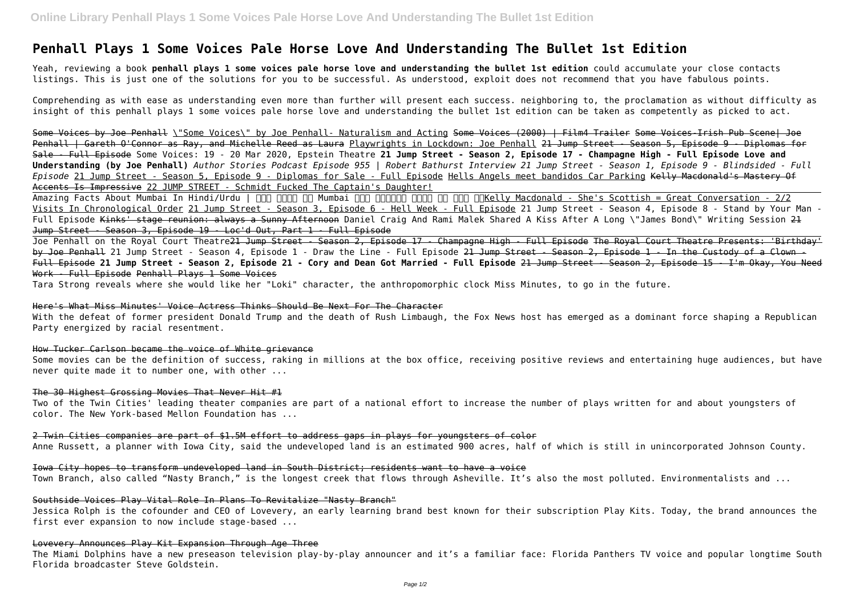# **Penhall Plays 1 Some Voices Pale Horse Love And Understanding The Bullet 1st Edition**

Yeah, reviewing a book **penhall plays 1 some voices pale horse love and understanding the bullet 1st edition** could accumulate your close contacts listings. This is just one of the solutions for you to be successful. As understood, exploit does not recommend that you have fabulous points.

Comprehending as with ease as understanding even more than further will present each success. neighboring to, the proclamation as without difficulty as insight of this penhall plays 1 some voices pale horse love and understanding the bullet 1st edition can be taken as competently as picked to act.

Amazing Facts About Mumbai In Hindi/Urdu | NM NMM NM Mumbai NM NMM NMM NMM NMM NMKelly Macdonald - She's Scottish = Great Conversation - 2/2 Visits In Chronological Order 21 Jump Street - Season 3, Episode 6 - Hell Week - Full Episode 21 Jump Street - Season 4, Episode 8 - Stand by Your Man - Full Episode <del>Kinks' stage reunion: always a Sunny Afternoon</del> Daniel Craig And Rami Malek Shared A Kiss After A Long \"James Bond\" Writing Session <del>21</del> Jump Street - Season 3, Episode 19 - Loc'd Out, Part 1 - Full Episode

Some Voices by Joe Penhall \"Some Voices\" by Joe Penhall- Naturalism and Acting Some Voices (2000) | Film4 Trailer Some Voices-Irish Pub Scene| Joe Penhall | Gareth O'Connor as Ray, and Michelle Reed as Laura Playwrights in Lockdown: Joe Penhall 21 Jump Street - Season 5, Episode 9 - Diplomas for Sale - Full Episode Some Voices: 19 - 20 Mar 2020, Epstein Theatre **21 Jump Street - Season 2, Episode 17 - Champagne High - Full Episode Love and Understanding (by Joe Penhall)** *Author Stories Podcast Episode 955 | Robert Bathurst Interview 21 Jump Street - Season 1, Episode 9 - Blindsided - Full Episode* 21 Jump Street - Season 5, Episode 9 - Diplomas for Sale - Full Episode Hells Angels meet bandidos Car Parking Kelly Macdonald's Mastery Of Accents Is Impressive 22 JUMP STREET - Schmidt Fucked The Captain's Daughter!

Joe Penhall on the Royal Court Theatre<del>21 Jump Street - Season 2, Episode 17 - Champagne High - Full Episode The Royal Court Theatre Presents: 'Birthday'</del> by Joe Penhall 21 Jump Street - Season 4, Episode 1 - Draw the Line - Full Episode 21 Jump Street - Season 2, Episode 1 - In the Custody of a Clown -Full Episode **21 Jump Street - Season 2, Episode 21 - Cory and Dean Got Married - Full Episode** 21 Jump Street - Season 2, Episode 15 - I'm Okay, You Need Work - Full Episode Penhall Plays 1 Some Voices

Tara Strong reveals where she would like her "Loki" character, the anthropomorphic clock Miss Minutes, to go in the future.

#### Here's What Miss Minutes' Voice Actress Thinks Should Be Next For The Character

With the defeat of former president Donald Trump and the death of Rush Limbaugh, the Fox News host has emerged as a dominant force shaping a Republican Party energized by racial resentment.

#### How Tucker Carlson became the voice of White grievance

Some movies can be the definition of success, raking in millions at the box office, receiving positive reviews and entertaining huge audiences, but have never quite made it to number one, with other ...

## The 30 Highest Grossing Movies That Never Hit #1

Two of the Twin Cities' leading theater companies are part of a national effort to increase the number of plays written for and about youngsters of color. The New York-based Mellon Foundation has ...

## 2 Twin Cities companies are part of \$1.5M effort to address gaps in plays for youngsters of color

Anne Russett, a planner with Iowa City, said the undeveloped land is an estimated 900 acres, half of which is still in unincorporated Johnson County.

Iowa City hopes to transform undeveloped land in South District; residents want to have a voice

Town Branch, also called "Nasty Branch," is the longest creek that flows through Asheville. It's also the most polluted. Environmentalists and ...

## Southside Voices Play Vital Role In Plans To Revitalize "Nasty Branch"

Jessica Rolph is the cofounder and CEO of Lovevery, an early learning brand best known for their subscription Play Kits. Today, the brand announces the first ever expansion to now include stage-based ...

## Lovevery Announces Play Kit Expansion Through Age Three

The Miami Dolphins have a new preseason television play-by-play announcer and it's a familiar face: Florida Panthers TV voice and popular longtime South Florida broadcaster Steve Goldstein.